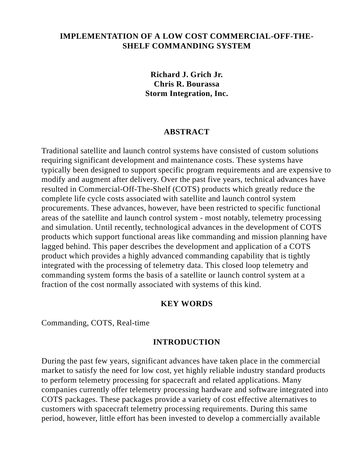### **IMPLEMENTATION OF A LOW COST COMMERCIAL-OFF-THE-SHELF COMMANDING SYSTEM**

**Richard J. Grich Jr. Chris R. Bourassa Storm Integration, Inc.**

### **ABSTRACT**

Traditional satellite and launch control systems have consisted of custom solutions requiring significant development and maintenance costs. These systems have typically been designed to support specific program requirements and are expensive to modify and augment after delivery. Over the past five years, technical advances have resulted in Commercial-Off-The-Shelf (COTS) products which greatly reduce the complete life cycle costs associated with satellite and launch control system procurements. These advances, however, have been restricted to specific functional areas of the satellite and launch control system - most notably, telemetry processing and simulation. Until recently, technological advances in the development of COTS products which support functional areas like commanding and mission planning have lagged behind. This paper describes the development and application of a COTS product which provides a highly advanced commanding capability that is tightly integrated with the processing of telemetry data. This closed loop telemetry and commanding system forms the basis of a satellite or launch control system at a fraction of the cost normally associated with systems of this kind.

### **KEY WORDS**

Commanding, COTS, Real-time

#### **INTRODUCTION**

During the past few years, significant advances have taken place in the commercial market to satisfy the need for low cost, yet highly reliable industry standard products to perform telemetry processing for spacecraft and related applications. Many companies currently offer telemetry processing hardware and software integrated into COTS packages. These packages provide a variety of cost effective alternatives to customers with spacecraft telemetry processing requirements. During this same period, however, little effort has been invested to develop a commercially available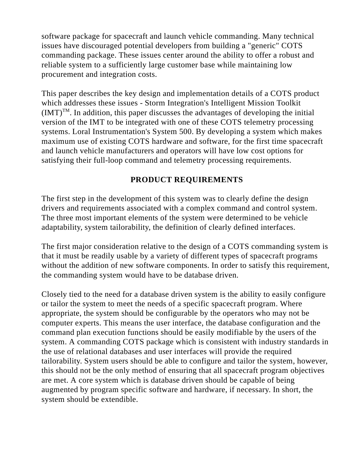software package for spacecraft and launch vehicle commanding. Many technical issues have discouraged potential developers from building a "generic" COTS commanding package. These issues center around the ability to offer a robust and reliable system to a sufficiently large customer base while maintaining low procurement and integration costs.

This paper describes the key design and implementation details of a COTS product which addresses these issues - Storm Integration's Intelligent Mission Toolkit  $(IMT)^{TM}$ . In addition, this paper discusses the advantages of developing the initial version of the IMT to be integrated with one of these COTS telemetry processing systems. Loral Instrumentation's System 500. By developing a system which makes maximum use of existing COTS hardware and software, for the first time spacecraft and launch vehicle manufacturers and operators will have low cost options for satisfying their full-loop command and telemetry processing requirements.

## **PRODUCT REQUIREMENTS**

The first step in the development of this system was to clearly define the design drivers and requirements associated with a complex command and control system. The three most important elements of the system were determined to be vehicle adaptability, system tailorability, the definition of clearly defined interfaces.

The first major consideration relative to the design of a COTS commanding system is that it must be readily usable by a variety of different types of spacecraft programs without the addition of new software components. In order to satisfy this requirement, the commanding system would have to be database driven.

Closely tied to the need for a database driven system is the ability to easily configure or tailor the system to meet the needs of a specific spacecraft program. Where appropriate, the system should be configurable by the operators who may not be computer experts. This means the user interface, the database configuration and the command plan execution functions should be easily modifiable by the users of the system. A commanding COTS package which is consistent with industry standards in the use of relational databases and user interfaces will provide the required tailorability. System users should be able to configure and tailor the system, however, this should not be the only method of ensuring that all spacecraft program objectives are met. A core system which is database driven should be capable of being augmented by program specific software and hardware, if necessary. In short, the system should be extendible.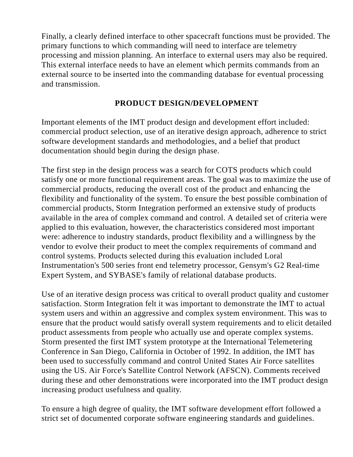Finally, a clearly defined interface to other spacecraft functions must be provided. The primary functions to which commanding will need to interface are telemetry processing and mission planning. An interface to external users may also be required. This external interface needs to have an element which permits commands from an external source to be inserted into the commanding database for eventual processing and transmission.

## **PRODUCT DESIGN/DEVELOPMENT**

Important elements of the IMT product design and development effort included: commercial product selection, use of an iterative design approach, adherence to strict software development standards and methodologies, and a belief that product documentation should begin during the design phase.

The first step in the design process was a search for COTS products which could satisfy one or more functional requirement areas. The goal was to maximize the use of commercial products, reducing the overall cost of the product and enhancing the flexibility and functionality of the system. To ensure the best possible combination of commercial products, Storm Integration performed an extensive study of products available in the area of complex command and control. A detailed set of criteria were applied to this evaluation, however, the characteristics considered most important were: adherence to industry standards, product flexibility and a willingness by the vendor to evolve their product to meet the complex requirements of command and control systems. Products selected during this evaluation included Loral Instrumentation's 500 series front end telemetry processor, Gensym's G2 Real-time Expert System, and SYBASE's family of relational database products.

Use of an iterative design process was critical to overall product quality and customer satisfaction. Storm Integration felt it was important to demonstrate the IMT to actual system users and within an aggressive and complex system environment. This was to ensure that the product would satisfy overall system requirements and to elicit detailed product assessments from people who actually use and operate complex systems. Storm presented the first IMT system prototype at the International Telemetering Conference in San Diego, California in October of 1992. In addition, the IMT has been used to successfully command and control United States Air Force satellites using the US. Air Force's Satellite Control Network (AFSCN). Comments received during these and other demonstrations were incorporated into the IMT product design increasing product usefulness and quality.

To ensure a high degree of quality, the IMT software development effort followed a strict set of documented corporate software engineering standards and guidelines.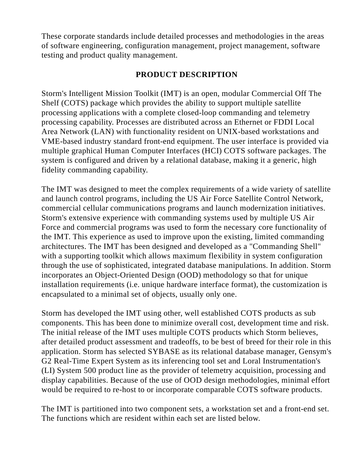These corporate standards include detailed processes and methodologies in the areas of software engineering, configuration management, project management, software testing and product quality management.

## **PRODUCT DESCRIPTION**

Storm's Intelligent Mission Toolkit (IMT) is an open, modular Commercial Off The Shelf (COTS) package which provides the ability to support multiple satellite processing applications with a complete closed-loop commanding and telemetry processing capability. Processes are distributed across an Ethernet or FDDI Local Area Network (LAN) with functionality resident on UNIX-based workstations and VME-based industry standard front-end equipment. The user interface is provided via multiple graphical Human Computer Interfaces (HCI) COTS software packages. The system is configured and driven by a relational database, making it a generic, high fidelity commanding capability.

The IMT was designed to meet the complex requirements of a wide variety of satellite and launch control programs, including the US Air Force Satellite Control Network, commercial cellular communications programs and launch modernization initiatives. Storm's extensive experience with commanding systems used by multiple US Air Force and commercial programs was used to form the necessary core functionality of the IMT. This experience as used to improve upon the existing, limited commanding architectures. The IMT has been designed and developed as a "Commanding Shell" with a supporting toolkit which allows maximum flexibility in system configuration through the use of sophisticated, integrated database manipulations. In addition. Storm incorporates an Object-Oriented Design (OOD) methodology so that for unique installation requirements (i.e. unique hardware interface format), the customization is encapsulated to a minimal set of objects, usually only one.

Storm has developed the IMT using other, well established COTS products as sub components. This has been done to minimize overall cost, development time and risk. The initial release of the IMT uses multiple COTS products which Storm believes, after detailed product assessment and tradeoffs, to be best of breed for their role in this application. Storm has selected SYBASE as its relational database manager, Gensym's G2 Real-Time Expert System as its inferencing tool set and Loral Instrumentation's (LI) System 500 product line as the provider of telemetry acquisition, processing and display capabilities. Because of the use of OOD design methodologies, minimal effort would be required to re-host to or incorporate comparable COTS software products.

The IMT is partitioned into two component sets, a workstation set and a front-end set. The functions which are resident within each set are listed below.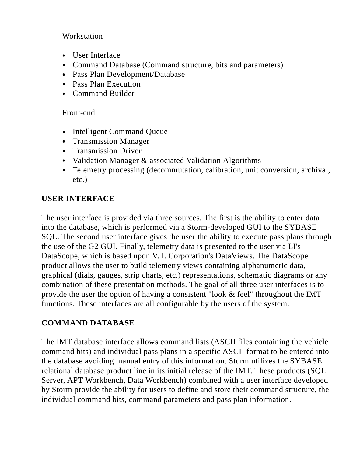### **Workstation**

- User Interface
- Command Database (Command structure, bits and parameters)
- Pass Plan Development/Database
- Pass Plan Execution
- Command Builder

## Front-end

- Intelligent Command Queue
- Transmission Manager
- Transmission Driver
- Validation Manager & associated Validation Algorithms
- Telemetry processing (decommutation, calibration, unit conversion, archival, etc.)

# **USER INTERFACE**

The user interface is provided via three sources. The first is the ability to enter data into the database, which is performed via a Storm-developed GUI to the SYBASE SQL. The second user interface gives the user the ability to execute pass plans through the use of the G2 GUI. Finally, telemetry data is presented to the user via LI's DataScope, which is based upon V. I. Corporation's DataViews. The DataScope product allows the user to build telemetry views containing alphanumeric data, graphical (dials, gauges, strip charts, etc.) representations, schematic diagrams or any combination of these presentation methods. The goal of all three user interfaces is to provide the user the option of having a consistent "look & feel" throughout the IMT functions. These interfaces are all configurable by the users of the system.

# **COMMAND DATABASE**

The IMT database interface allows command lists (ASCII files containing the vehicle command bits) and individual pass plans in a specific ASCII format to be entered into the database avoiding manual entry of this information. Storm utilizes the SYBASE relational database product line in its initial release of the IMT. These products (SQL Server, APT Workbench, Data Workbench) combined with a user interface developed by Storm provide the ability for users to define and store their command structure, the individual command bits, command parameters and pass plan information.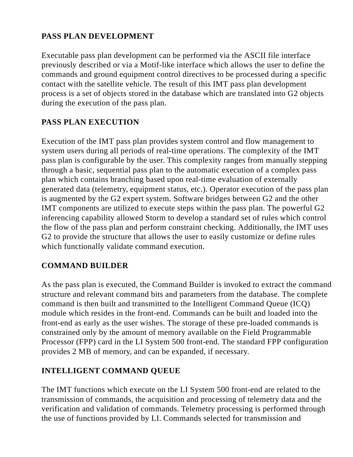# **PASS PLAN DEVELOPMENT**

Executable pass plan development can be performed via the ASCII file interface previously described or via a Motif-like interface which allows the user to define the commands and ground equipment control directives to be processed during a specific contact with the satellite vehicle. The result of this IMT pass plan development process is a set of objects stored in the database which are translated into G2 objects during the execution of the pass plan.

## **PASS PLAN EXECUTION**

Execution of the IMT pass plan provides system control and flow management to system users during all periods of real-time operations. The complexity of the IMT pass plan is configurable by the user. This complexity ranges from manually stepping through a basic, sequential pass plan to the automatic execution of a complex pass plan which contains branching based upon real-time evaluation of externally generated data (telemetry, equipment status, etc.). Operator execution of the pass plan is augmented by the G2 expert system. Software bridges between G2 and the other IMT components are utilized to execute steps within the pass plan. The powerful G2 inferencing capability allowed Storm to develop a standard set of rules which control the flow of the pass plan and perform constraint checking. Additionally, the IMT uses G2 to provide the structure that allows the user to easily customize or define rules which functionally validate command execution.

## **COMMAND BUILDER**

As the pass plan is executed, the Command Builder is invoked to extract the command structure and relevant command bits and parameters from the database. The complete command is then built and transmitted to the Intelligent Command Queue (ICQ) module which resides in the front-end. Commands can be built and loaded into the front-end as early as the user wishes. The storage of these pre-loaded commands is constrained only by the amount of memory available on the Field Programmable Processor (FPP) card in the LI System 500 front-end. The standard FPP configuration provides 2 MB of memory, and can be expanded, if necessary.

## **INTELLIGENT COMMAND QUEUE**

The IMT functions which execute on the LI System 500 front-end are related to the transmission of commands, the acquisition and processing of telemetry data and the verification and validation of commands. Telemetry processing is performed through the use of functions provided by LI. Commands selected for transmission and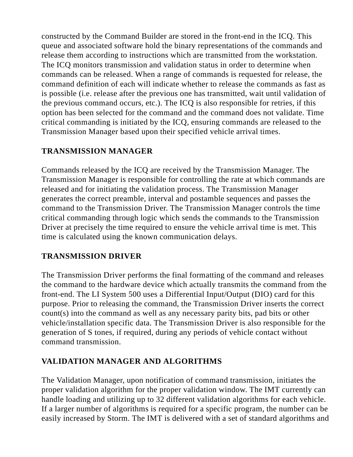constructed by the Command Builder are stored in the front-end in the ICQ. This queue and associated software hold the binary representations of the commands and release them according to instructions which are transmitted from the workstation. The ICQ monitors transmission and validation status in order to determine when commands can be released. When a range of commands is requested for release, the command definition of each will indicate whether to release the commands as fast as is possible (i.e. release after the previous one has transmitted, wait until validation of the previous command occurs, etc.). The ICQ is also responsible for retries, if this option has been selected for the command and the command does not validate. Time critical commanding is initiated by the ICQ, ensuring commands are released to the Transmission Manager based upon their specified vehicle arrival times.

## **TRANSMISSION MANAGER**

Commands released by the ICQ are received by the Transmission Manager. The Transmission Manager is responsible for controlling the rate at which commands are released and for initiating the validation process. The Transmission Manager generates the correct preamble, interval and postamble sequences and passes the command to the Transmission Driver. The Transmission Manager controls the time critical commanding through logic which sends the commands to the Transmission Driver at precisely the time required to ensure the vehicle arrival time is met. This time is calculated using the known communication delays.

## **TRANSMISSION DRIVER**

The Transmission Driver performs the final formatting of the command and releases the command to the hardware device which actually transmits the command from the front-end. The LI System 500 uses a Differential Input/Output (DIO) card for this purpose. Prior to releasing the command, the Transmission Driver inserts the correct count(s) into the command as well as any necessary parity bits, pad bits or other vehicle/installation specific data. The Transmission Driver is also responsible for the generation of S tones, if required, during any periods of vehicle contact without command transmission.

## **VALIDATION MANAGER AND ALGORITHMS**

The Validation Manager, upon notification of command transmission, initiates the proper validation algorithm for the proper validation window. The IMT currently can handle loading and utilizing up to 32 different validation algorithms for each vehicle. If a larger number of algorithms is required for a specific program, the number can be easily increased by Storm. The IMT is delivered with a set of standard algorithms and